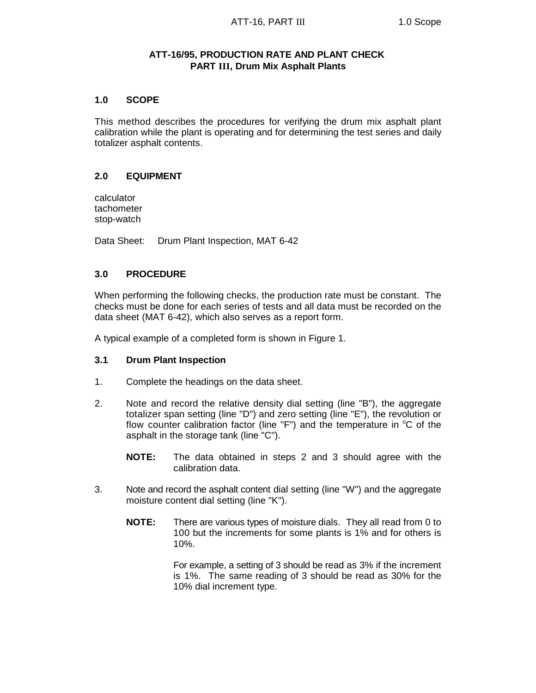# **ATT-16/95, PRODUCTION RATE AND PLANT CHECK PART III, Drum Mix Asphalt Plants**

#### **1.0 SCOPE**

This method describes the procedures for verifying the drum mix asphalt plant calibration while the plant is operating and for determining the test series and daily totalizer asphalt contents.

#### **2.0 EQUIPMENT**

calculator tachometer stop-watch

Data Sheet: Drum Plant Inspection, MAT 6-42

## **3.0 PROCEDURE**

When performing the following checks, the production rate must be constant. The checks must be done for each series of tests and all data must be recorded on the data sheet (MAT 6-42), which also serves as a report form.

A typical example of a completed form is shown in Figure 1.

#### **3.1 Drum Plant Inspection**

- 1. Complete the headings on the data sheet.
- 2. Note and record the relative density dial setting (line "B"), the aggregate totalizer span setting (line "D") and zero setting (line "E"), the revolution or flow counter calibration factor (line "F") and the temperature in  $°C$  of the asphalt in the storage tank (line "C").
	- **NOTE:** The data obtained in steps 2 and 3 should agree with the calibration data.
- 3. Note and record the asphalt content dial setting (line "W") and the aggregate moisture content dial setting (line "K").
	- **NOTE:** There are various types of moisture dials. They all read from 0 to 100 but the increments for some plants is 1% and for others is 10%.

For example, a setting of 3 should be read as 3% if the increment is 1%. The same reading of 3 should be read as 30% for the 10% dial increment type.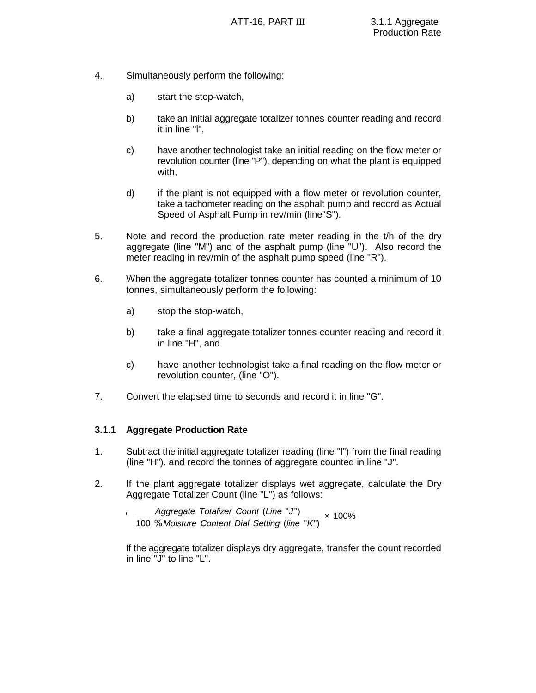- 4. Simultaneously perform the following:
	- a) start the stop-watch,
	- b) take an initial aggregate totalizer tonnes counter reading and record it in line "l",
	- c) have another technologist take an initial reading on the flow meter or revolution counter (line "P"), depending on what the plant is equipped with,
	- d) if the plant is not equipped with a flow meter or revolution counter, take a tachometer reading on the asphalt pump and record as Actual Speed of Asphalt Pump in rev/min (line"S").
- 5. Note and record the production rate meter reading in the t/h of the dry aggregate (line "M") and of the asphalt pump (line "U"). Also record the meter reading in rev/min of the asphalt pump speed (line "R").
- 6. When the aggregate totalizer tonnes counter has counted a minimum of 10 tonnes, simultaneously perform the following:
	- a) stop the stop-watch,
	- b) take a final aggregate totalizer tonnes counter reading and record it in line "H", and
	- c) have another technologist take a final reading on the flow meter or revolution counter, (line "O").
- 7. Convert the elapsed time to seconds and record it in line "G".

# **3.1.1 Aggregate Production Rate**

'

- 1. Subtract the initial aggregate totalizer reading (line "l") from the final reading (line "H"). and record the tonnes of aggregate counted in line "J".
- 2. If the plant aggregate totalizer displays wet aggregate, calculate the Dry Aggregate Totalizer Count (line "L") as follows:

*Aggregate Totalizer Count* (*Line* "*J*") 100 % *Moisture Content Dial Setting* (*line* "*K*") × 100%

If the aggregate totalizer displays dry aggregate, transfer the count recorded in line "J" to line "L".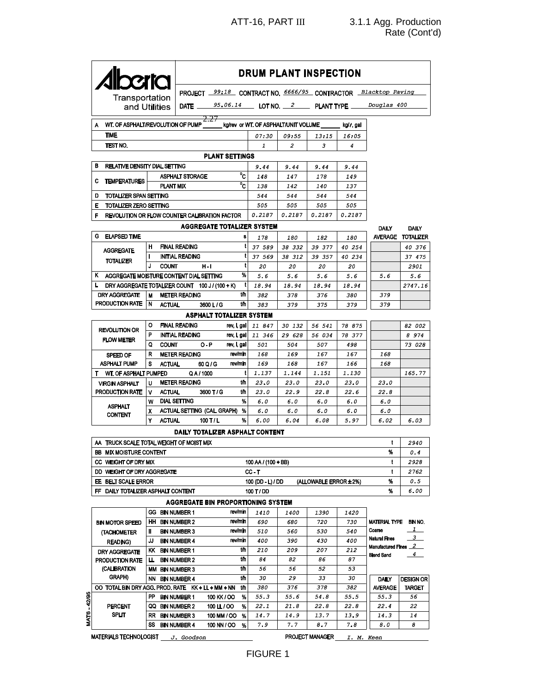# 3.1.1 Agg. Production<br>Rate (Cont'd)

| <b>DRUM PLANT INSPECTION</b>                                  |                                  |                                              |                                           |                    |                                      |                        |                    |                                                 |                   |  |
|---------------------------------------------------------------|----------------------------------|----------------------------------------------|-------------------------------------------|--------------------|--------------------------------------|------------------------|--------------------|-------------------------------------------------|-------------------|--|
| PROJECT 99:18 CONTRACT NO. 6666/95 CONTRACTOR Blacktop Paving |                                  |                                              |                                           |                    |                                      |                        |                    |                                                 |                   |  |
| Transportation                                                | and Utilities                    | 95.06.14 LOT NO. 2 PLANT TYPE<br>DATE $_{-}$ |                                           |                    |                                      |                        |                    | Douglas 400                                     |                   |  |
|                                                               |                                  |                                              |                                           |                    |                                      |                        |                    |                                                 |                   |  |
| WT. OF ASPHALT/REVOLUTION OF PUMP                             |                                  |                                              | 2.27                                      |                    | kg/rev or WT. OF ASPHALT/UNIT VOLUME |                        | kg//, gal          |                                                 |                   |  |
| <b>TIME</b>                                                   |                                  |                                              |                                           | 07:30              | <i>09:55</i>                         | 13:15                  | 16:05              |                                                 |                   |  |
| TEST NO.                                                      |                                  |                                              |                                           | 1                  | 2                                    | з                      | 4                  |                                                 |                   |  |
|                                                               |                                  |                                              | <b>PLANT SETTINGS</b>                     |                    |                                      |                        |                    |                                                 |                   |  |
| в<br>RELATIVE DENSITY DIAL SETTING                            |                                  |                                              |                                           | 9.44               | 9.44                                 | 9.44                   | 9.44               |                                                 |                   |  |
| с<br><b>TEMPERATURES</b>                                      |                                  | <b>ASPHALT STORAGE</b>                       | °c                                        | 148                | 147                                  | 178                    | 149                |                                                 |                   |  |
|                                                               | $^{\circ}$ c<br><b>PLANT MIX</b> |                                              |                                           | 138                | 142                                  | <i><b>140</b></i>      | 137                |                                                 |                   |  |
| TOTALIZER SPAN SETTING<br>D                                   |                                  |                                              |                                           | 544                | 544                                  | 544                    | 544                |                                                 |                   |  |
| <b>TOTALIZER ZERO SETTING</b><br>Е                            |                                  |                                              |                                           | 505                | 505                                  | 505                    | 505                |                                                 |                   |  |
| F<br>REVOLUTION OR FLOW COUNTER CALIBRATION FACTOR            |                                  |                                              |                                           | 0.2187             | 0.2187                               | 0.2187                 | 0.2187             |                                                 |                   |  |
|                                                               |                                  |                                              | <b>AGGREGATE TOTALIZER SYSTEM</b>         |                    |                                      |                        |                    | <b>DAILY</b>                                    | DAILY             |  |
| G<br><b>ELAPSED TIME</b>                                      |                                  |                                              | 8                                         | 178                | <i>180</i>                           | 182                    | <i><b>180</b></i>  |                                                 | AVERAGE TOTALIZER |  |
| <b>AGGREGATE</b>                                              | н                                | <b>FINAL READING</b>                         | t                                         | 37 589             | 38 332                               | 39 377                 | 40 254             |                                                 | 40 376            |  |
| <b>TOTALIZER</b>                                              |                                  | <b>INITIAL READING</b>                       | t                                         | 37 569             | 38 312                               | 39 357                 | 40 234             |                                                 | 37 475            |  |
|                                                               | J<br><b>COUNT</b>                | H-1                                          | t                                         | 20                 | 20                                   | 20                     | 20                 |                                                 | 2901              |  |
| Κ<br>AGGREGATE MOISTURE CONTENT DIAL SETTING                  |                                  |                                              | %                                         | 5.6                | 5.6                                  | 5.6                    | 5.6                | 5.6                                             | 5.6               |  |
| L<br>DRY AGGREGATE TOTALIZER COUNT 100 J / (100 + K)          |                                  |                                              | t                                         | 18.94              | 18.94                                | 18.94                  | 18.94              |                                                 | 2747.16           |  |
| DRY AGGREGATE                                                 | М                                | <b>METER READING</b>                         | t/h                                       | 382                | 378                                  | 376                    | 380                | 379                                             |                   |  |
| <b>PRODUCTION RATE</b>                                        | N<br><b>ACTUAL</b>               |                                              | t/h<br>3600 L / G                         | 383                | 379                                  | 375                    | 379                | 379                                             |                   |  |
|                                                               |                                  |                                              | <b>ASPHALT TOTALIZER SYSTEM</b>           |                    |                                      |                        |                    |                                                 |                   |  |
| <b>REVOLUTION OR</b>                                          | o                                | <b>FINAL READING</b>                         | rev, I, gal                               | 11 847             | 30 132                               | 56 541                 | 78 875             |                                                 | 82 002            |  |
| <b>FLOW METER</b>                                             | Р                                | <b>INITIAL READING</b>                       | rev, I, gal                               | 11 346             | 29 628                               | 56 034                 | 78 377             |                                                 | 8974              |  |
|                                                               | <b>COUNT</b><br>Q                | $O - P$                                      | rev, I, gal                               | 501                | 504                                  | 507                    | 498                |                                                 | 73 028            |  |
| <b>SPEED OF</b>                                               | R                                | <b>METER READING</b>                         | rev/min                                   | 168                | 169                                  | 167                    | 167                | 168                                             |                   |  |
| <b>ASPHALT PUMP</b>                                           | s<br><b>ACTUAL</b>               | 60 Q / G                                     | rev/min<br>t                              | 169                | 168                                  | 167                    | 166                | 168                                             |                   |  |
| WT. OF ASPHALT PUMPED<br>т                                    | U                                | QA/1000<br><b>METER READING</b>              | th                                        | 1.137<br>23.0      | 1,144<br>23.0                        | 1.151<br>23.0          | 1,130<br>23.0      | 23.0                                            | 165.77            |  |
| <b>VIRGIN ASPHALT</b><br><b>PRODUCTION RATE</b>               | <b>ACTUAL</b><br>v               |                                              | th<br>3600 T/G                            | 23.0               | 22.9                                 | 22.8                   | 22.6               | 22.8                                            |                   |  |
|                                                               | DIAL SETTING<br>w                |                                              | %                                         | 6.0                | 6.0                                  | 6.0                    | 6.0                | 6.0                                             |                   |  |
| <b>ASPHALT</b>                                                | x                                |                                              | ACTUAL SETTING (CAL GRAPH) %              | 6.0                | 6.0                                  | 6.0                    | 6.0                | 6.0                                             |                   |  |
| <b>CONTENT</b>                                                | <b>ACTUAL</b><br>Y               |                                              | %<br>$100$ T $/$ L                        | 6.00               | 6.04                                 | 6.08                   | 5.97               | 6.02                                            | 6.03              |  |
|                                                               |                                  |                                              | DAILY TOTALIZER ASPHALT CONTENT           |                    |                                      |                        |                    |                                                 |                   |  |
| AA TRUCK SCALE TOTAL WEIGHT OF MOIST MIX                      |                                  |                                              |                                           |                    |                                      |                        |                    | t                                               | 2940              |  |
|                                                               |                                  |                                              |                                           |                    |                                      |                        |                    | %                                               | 0.4               |  |
| CC WEIGHT OF DRY MIX                                          | <b>BB MIX MOISTURE CONTENT</b>   |                                              |                                           |                    |                                      |                        |                    | t                                               | 2928              |  |
| 100 AA / (100 + BB)<br>DD WEIGHT OF DRY AGGREGATE<br>$CC - T$ |                                  |                                              |                                           |                    |                                      |                        |                    | t                                               | 2762              |  |
| EE BELT SCALE ERROR                                           |                                  |                                              |                                           | 100 (DD - L) / DD  |                                      | (ALLOWABLE ERROR ± 2%) |                    | %                                               | 0.5               |  |
| FF DAILY TOTALIZER ASPHALT CONTENT                            |                                  |                                              |                                           | 100 T / DD         |                                      |                        |                    | %                                               | 6.00              |  |
|                                                               |                                  |                                              | <b>AGGREGATE BIN PROPORTIONING SYSTEM</b> |                    |                                      |                        |                    |                                                 |                   |  |
|                                                               | GG BIN NUMBER 1                  |                                              | rev/min                                   | <i><b>1410</b></i> | <i>1400</i>                          | 1390                   | <i><b>1420</b></i> |                                                 |                   |  |
| <b>BIN MOTOR SPEED</b>                                        | HH BIN NUMBER 2                  |                                              | rev/min                                   | 690                | 680                                  | 720                    | 730                |                                                 |                   |  |
| <b>(TACHOMETER)</b>                                           | Ш                                | <b>BIN NUMBER 3</b>                          | rev/min                                   | <i>510</i>         | 560                                  | 530                    | 540                | MATERIAL TYPE BIN NO.<br>$\mathbf{1}$<br>Coarse |                   |  |
| <b>READING)</b>                                               | JJ                               | <b>BIN NUMBER 4</b>                          | rev/min                                   | 400                | 390                                  | 430                    | 400                | Natural Fines                                   |                   |  |
| DRY AGGREGATE                                                 | KK                               | <b>BIN NUMBER 1</b>                          | th                                        | 210                | 209                                  | 207                    | 212                | $\frac{2}{2}$<br><b>Manufactured Fines</b>      |                   |  |
| <b>PRODUCTION RATE</b>                                        | Щ.                               | <b>BIN NUMBER 2</b>                          | tħ                                        | 84                 | 82                                   | 86                     | 87                 | <b>Blend Sand</b>                               | $\overline{4}$    |  |
| (CALIBRATION                                                  | MM BIN NUMBER 3                  |                                              | th                                        | 56                 | 56                                   | 52                     | 53                 |                                                 |                   |  |
| GRAPH)                                                        | ΝN                               | <b>BIN NUMBER 4</b>                          | t/h                                       | 30                 | 29                                   | 33                     | 30                 | DAILY                                           | <b>DESIGN OR</b>  |  |
| OO TOTAL BIN DRY AGG. PROD. RATE KK + LL + MM + NN            |                                  |                                              | th                                        | 380                | 376                                  | 378                    | 382                | AVERAGE                                         | <b>TARGET</b>     |  |
| $-42/95$                                                      | PP.                              | <b>BIN NUMBER 1</b>                          | 100 KK / OO<br>℅                          | 55.3               | 55.6                                 | 54.8                   | 55.5               | 55.3                                            | 56                |  |
| PERCENT                                                       | QQ BIN NUMBER 2                  |                                              | %<br>100 LL / OO                          | 22.1               | 21.8                                 | 22.8                   | 22.8               | 22.4                                            | 22                |  |
| MAT6<br>Split                                                 | RR BIN NUMBER 3                  |                                              | 100 MM / OO<br>%                          | 14.7               | 14.9                                 | 13.7                   | 13.9               | 14.3                                            | 14                |  |
|                                                               | SS BIN NUMBER 4                  |                                              | 100 NN / OO<br>%                          | 7.9                | 7.7                                  | 8.7                    | 7.8                | 8.0                                             | 8                 |  |

MATERIALS TECHNOLOGIST \_\_\_ J. Goodson

 $\overline{a}$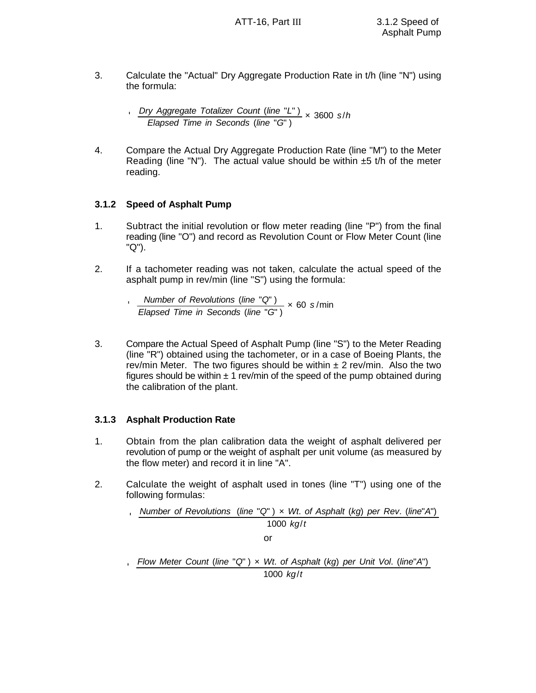3. Calculate the "Actual" Dry Aggregate Production Rate in t/h (line "N") using the formula:

' *Dry Aggregate Totalizer Count* (*line* "*L*" ) *Elapsed Time in Seconds* (*line* "*G*" ) × 3600 *s*/*h*

4. Compare the Actual Dry Aggregate Production Rate (line "M") to the Meter Reading (line "N"). The actual value should be within  $\pm 5$  t/h of the meter reading.

# **3.1.2 Speed of Asphalt Pump**

- 1. Subtract the initial revolution or flow meter reading (line "P") from the final reading (line "O") and record as Revolution Count or Flow Meter Count (line "Q").
- 2. If a tachometer reading was not taken, calculate the actual speed of the asphalt pump in rev/min (line "S") using the formula:

' *Number of Revolutions* (*line* "*Q*" ) *Elapsed Time in Seconds* (*line* "*G*" ) × 60 *s* /min

3. Compare the Actual Speed of Asphalt Pump (line "S") to the Meter Reading (line "R") obtained using the tachometer, or in a case of Boeing Plants, the rev/min Meter. The two figures should be within  $\pm$  2 rev/min. Also the two figures should be within  $\pm 1$  rev/min of the speed of the pump obtained during the calibration of the plant.

# **3.1.3 Asphalt Production Rate**

- 1. Obtain from the plan calibration data the weight of asphalt delivered per revolution of pump or the weight of asphalt per unit volume (as measured by the flow meter) and record it in line "A".
- 2. Calculate the weight of asphalt used in tones (line "T") using one of the following formulas:

'*Number of Revolutions* (*line* "*Q*" ) × *Wt*. *of Asphalt* (*kg*) *per Rev*. (*line*"*A*") 1000 *kg*/*t* or

'*Flow Meter Count* (*line* "*Q*" ) × *Wt*. *of Asphalt* (*kg*) *per Unit Vol*. (*line*"*A*") 1000 *kg*/*t*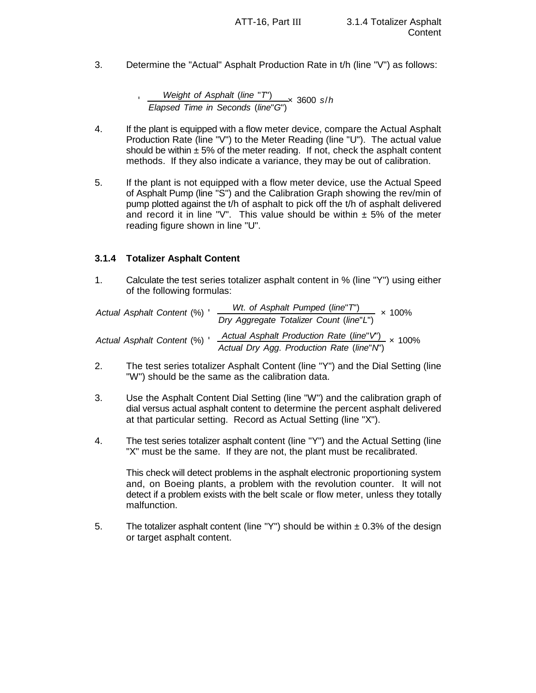3. Determine the "Actual" Asphalt Production Rate in t/h (line "V") as follows:

*Weight of Asphalt* (*line* "*T*") *Elapsed Time in Seconds* (*line*"*G*") × 3600 *s*/*h*

- 4. If the plant is equipped with a flow meter device, compare the Actual Asphalt Production Rate (line "V") to the Meter Reading (line "U"). The actual value should be within  $\pm$  5% of the meter reading. If not, check the asphalt content methods. If they also indicate a variance, they may be out of calibration.
- 5. If the plant is not equipped with a flow meter device, use the Actual Speed of Asphalt Pump (line "S") and the Calibration Graph showing the rev/min of pump plotted against the t/h of asphalt to pick off the t/h of asphalt delivered and record it in line "V". This value should be within  $\pm$  5% of the meter reading figure shown in line "U".

## **3.1.4 Totalizer Asphalt Content**

1. Calculate the test series totalizer asphalt content in % (line "Y") using either of the following formulas:

| Actual Asphalt Content (%) ' | Wt. of Asphalt Pumped (line" $T'$ ) $\times$ 100% |
|------------------------------|---------------------------------------------------|
|                              | Dry Aggregate Totalizer Count (line"L")           |
| Actual Asphalt Content (%) ' | Actual Asphalt Production Rate (line"V") x 100%   |
|                              | Actual Dry Agg. Production Rate (line"N")         |

- 2. The test series totalizer Asphalt Content (line "Y") and the Dial Setting (line "W") should be the same as the calibration data.
- 3. Use the Asphalt Content Dial Setting (line "W") and the calibration graph of dial versus actual asphalt content to determine the percent asphalt delivered at that particular setting. Record as Actual Setting (line "X").
- 4. The test series totalizer asphalt content (line "Y") and the Actual Setting (line "X" must be the same. If they are not, the plant must be recalibrated.

This check will detect problems in the asphalt electronic proportioning system and, on Boeing plants, a problem with the revolution counter. It will not detect if a problem exists with the belt scale or flow meter, unless they totally malfunction.

5. The totalizer asphalt content (line "Y") should be within  $\pm$  0.3% of the design or target asphalt content.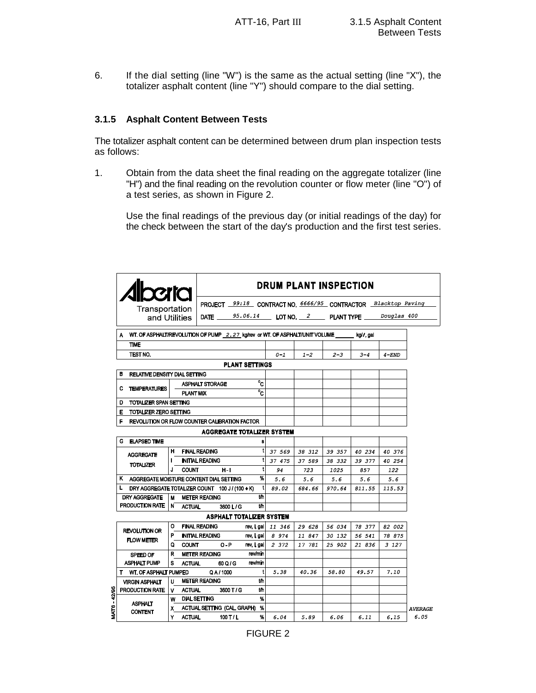6. If the dial setting (line "W") is the same as the actual setting (line "X"), the totalizer asphalt content (line "Y") should compare to the dial setting.

## **3.1.5 Asphalt Content Between Tests**

The totalizer asphalt content can be determined between drum plan inspection tests as follows:

1. Obtain from the data sheet the final reading on the aggregate totalizer (line "H") and the final reading on the revolution counter or flow meter (line "O") of a test series, as shown in Figure 2.

Use the final readings of the previous day (or initial readings of the day) for the check between the start of the day's production and the first test series.

|                                                                                            | <b><i><u>oria</u></i></b>                                  | <b>DRUM PLANT INSPECTION</b>                                  |                              |                  |                  |                  |                  |                  |                |  |
|--------------------------------------------------------------------------------------------|------------------------------------------------------------|---------------------------------------------------------------|------------------------------|------------------|------------------|------------------|------------------|------------------|----------------|--|
|                                                                                            |                                                            | PROJECT 99:18 CONTRACT NO. 6666/95 CONTRACTOR Blacktop Paving |                              |                  |                  |                  |                  |                  |                |  |
| Transportation                                                                             | and Utilities                                              | DATE 95.06.14 LOT NO. 2 PLANT TYPE Douglas 400                |                              |                  |                  |                  |                  |                  |                |  |
|                                                                                            |                                                            |                                                               |                              |                  |                  |                  |                  |                  |                |  |
| WT. OF ASPHALT/REVOLUTION OF PUMP 2.27 kg/rev or WT. OF ASPHALT/UNIT VOLUME kg//, gal<br>A |                                                            |                                                               |                              |                  |                  |                  |                  |                  |                |  |
| <b>TIME</b>                                                                                |                                                            |                                                               |                              |                  |                  |                  |                  |                  |                |  |
| TEST NO.                                                                                   |                                                            |                                                               |                              | $0 - 1$          | $1 - 2$          | $2 - 3$          | $3 - 4$          | $4 - END$        |                |  |
|                                                                                            |                                                            |                                                               | <b>PLANT SETTINGS</b>        |                  |                  |                  |                  |                  |                |  |
| в                                                                                          | <b>RELATIVE DENSITY DIAL SETTING</b>                       |                                                               |                              |                  |                  |                  |                  |                  |                |  |
| с<br><b>TEMPERATURES</b>                                                                   | $\overline{\text{c}}$<br><b>ASPHALT STORAGE</b>            |                                                               |                              |                  |                  |                  |                  |                  |                |  |
|                                                                                            | $\overline{\text{c}}$<br><b>PLANT MIX</b>                  |                                                               |                              |                  |                  |                  |                  |                  |                |  |
| D<br>TOTALIZER SPAN SETTING                                                                |                                                            |                                                               |                              |                  |                  |                  |                  |                  |                |  |
| Е<br><b>TOTALIZER ZERO SETTING</b>                                                         |                                                            |                                                               |                              |                  |                  |                  |                  |                  |                |  |
| F                                                                                          |                                                            | REVOLUTION OR FLOW COUNTER CALIBRATION FACTOR                 |                              |                  |                  |                  |                  |                  |                |  |
|                                                                                            |                                                            | <b>AGGREGATE TOTALIZER SYSTEM</b>                             |                              |                  |                  |                  |                  |                  |                |  |
| G<br><b>ELAPSED TIME</b>                                                                   |                                                            |                                                               | s                            |                  |                  |                  |                  |                  |                |  |
| <b>AGGREGATE</b>                                                                           | н                                                          | <b>FINAL READING</b>                                          | tl                           | 37 569<br>37 475 | 38 312           | 39 357           | 40 234           | 40 376           |                |  |
| <b>TOTALIZER</b>                                                                           | П                                                          | t<br><b>INITIAL READING</b>                                   |                              |                  | 37 589           | 38 332           | 39 377           | 40 254           |                |  |
|                                                                                            | tl<br>J<br>$H - I$<br><b>COUNT</b>                         |                                                               |                              | 94               | 723              | 1025             | 857              | 122              |                |  |
| K AGGREGATE MOISTURE CONTENT DIAL SETTING                                                  |                                                            |                                                               | %                            | 5.6              | 5.6              | 5.6              | 5.6              | 5.6              |                |  |
|                                                                                            | tl<br>Г<br>DRY AGGREGATE TOTALIZER COUNT 100 J / (100 + K) |                                                               |                              | 89.02            | 684.66           | 970.64           | 811.55           | 115.53           |                |  |
| DRY AGGREGATE<br><b>PRODUCTION RATE</b>                                                    | М<br>N<br><b>ACTUAL</b>                                    | <b>METER READING</b><br>3600 L / G                            | t⁄h<br>t/h                   |                  |                  |                  |                  |                  |                |  |
|                                                                                            |                                                            |                                                               |                              |                  |                  |                  |                  |                  |                |  |
|                                                                                            |                                                            | <b>ASPHALT TOTALIZER SYSTEM</b>                               |                              |                  |                  |                  |                  |                  |                |  |
| <b>REVOLUTION OR</b><br><b>FLOW METER</b>                                                  | ٥<br>P                                                     | <b>FINAL READING</b><br><b>INITIAL READING</b>                | rev, I, gall<br>rev, I, gall | 11 346<br>8 974  | 29 628<br>11 847 | 56 034<br>30 132 | 78 377<br>56 541 | 82 002<br>78 875 |                |  |
|                                                                                            | <b>COUNT</b><br>٥                                          | $O - P$                                                       | rev, I, gal                  | 2 372            | 17 781           | 25 902           | 21 836           | 3 127            |                |  |
| <b>SPEED OF</b>                                                                            | R                                                          | <b>METER READING</b>                                          | rev/min                      |                  |                  |                  |                  |                  |                |  |
| <b>ASPHALT PUMP</b>                                                                        | s<br><b>ACTUAL</b>                                         | 60 Q / G                                                      | rev/min                      |                  |                  |                  |                  |                  |                |  |
| WT. OF ASPHALT PUMPED<br>T                                                                 |                                                            | QA/1000                                                       | t                            | 5.38             | 40.36            | 58.80            | 49.57            | 7.10             |                |  |
| <b>VIRGIN ASPHALT</b>                                                                      | IJ                                                         | <b>METER READING</b>                                          | th                           |                  |                  |                  |                  |                  |                |  |
| <b>PRODUCTION RATE</b>                                                                     | <b>ACTUAL</b><br>v.                                        | 3600 T / G                                                    | th                           |                  |                  |                  |                  |                  |                |  |
| $-42/95$<br><b>ASPHALT</b>                                                                 | w                                                          | DIAL SETTING                                                  | %                            |                  |                  |                  |                  |                  |                |  |
| MAT <sub>6</sub><br><b>CONTENT</b>                                                         | x                                                          | ACTUAL SETTING (CAL. GRAPH)                                   | %                            |                  |                  |                  |                  |                  | <b>AVERAGE</b> |  |
|                                                                                            | Y<br><b>ACTUAL</b>                                         | $100$ T/L                                                     | %                            | 6.04             | 5.89             | 6.06             | 6.11             | 6.15             | 6.05           |  |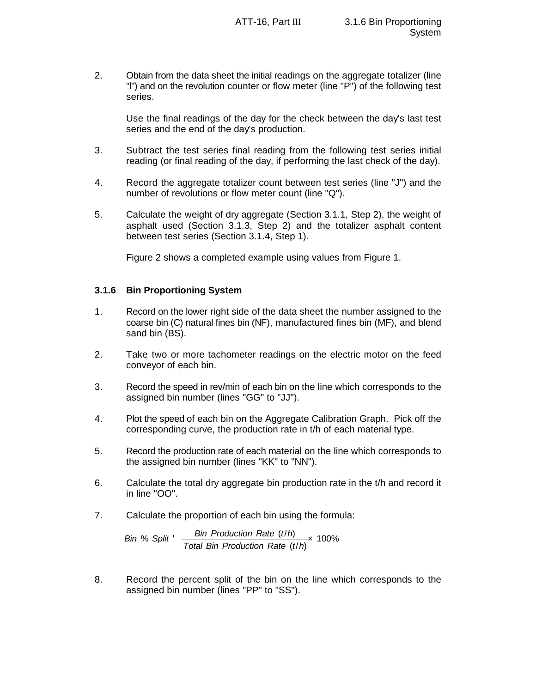2. Obtain from the data sheet the initial readings on the aggregate totalizer (line "l") and on the revolution counter or flow meter (line "P") of the following test series.

Use the final readings of the day for the check between the day's last test series and the end of the day's production.

- 3. Subtract the test series final reading from the following test series initial reading (or final reading of the day, if performing the last check of the day).
- 4. Record the aggregate totalizer count between test series (line "J") and the number of revolutions or flow meter count (line "Q").
- 5. Calculate the weight of dry aggregate (Section 3.1.1, Step 2), the weight of asphalt used (Section 3.1.3, Step 2) and the totalizer asphalt content between test series (Section 3.1.4, Step 1).

Figure 2 shows a completed example using values from Figure 1.

## **3.1.6 Bin Proportioning System**

- 1. Record on the lower right side of the data sheet the number assigned to the coarse bin (C) natural fines bin (NF), manufactured fines bin (MF), and blend sand bin (BS).
- 2. Take two or more tachometer readings on the electric motor on the feed conveyor of each bin.
- 3. Record the speed in rev/min of each bin on the line which corresponds to the assigned bin number (lines "GG" to "JJ").
- 4. Plot the speed of each bin on the Aggregate Calibration Graph. Pick off the corresponding curve, the production rate in t/h of each material type.
- 5. Record the production rate of each material on the line which corresponds to the assigned bin number (lines "KK" to "NN").
- 6. Calculate the total dry aggregate bin production rate in the  $t/h$  and record it in line "OO".
- 7. Calculate the proportion of each bin using the formula:

*Bin* % *Split* ' *Bin Production Rate* (*t*/*h*) *Total Bin Production Rate* (*t*/*h*) × 100%

8. Record the percent split of the bin on the line which corresponds to the assigned bin number (lines "PP" to "SS").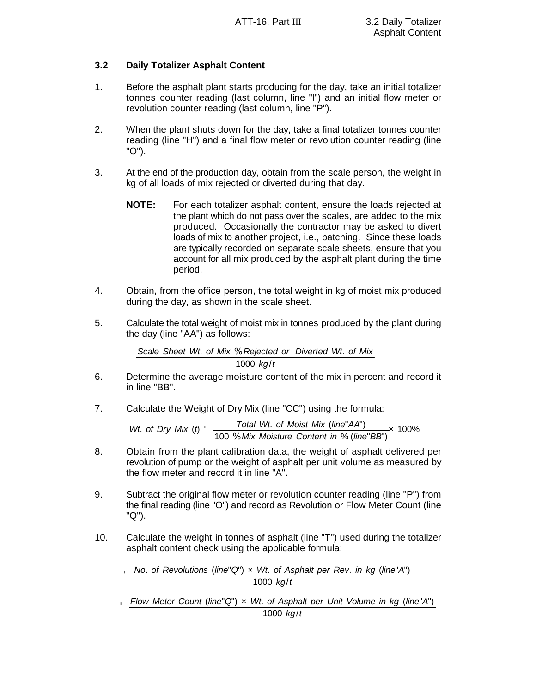# **3.2 Daily Totalizer Asphalt Content**

- 1. Before the asphalt plant starts producing for the day, take an initial totalizer tonnes counter reading (last column, line "l") and an initial flow meter or revolution counter reading (last column, line "P").
- 2. When the plant shuts down for the day, take a final totalizer tonnes counter reading (line "H") and a final flow meter or revolution counter reading (line "O").
- 3. At the end of the production day, obtain from the scale person, the weight in kg of all loads of mix rejected or diverted during that day.
	- **NOTE:** For each totalizer asphalt content, ensure the loads rejected at the plant which do not pass over the scales, are added to the mix produced. Occasionally the contractor may be asked to divert loads of mix to another project, i.e., patching. Since these loads are typically recorded on separate scale sheets, ensure that you account for all mix produced by the asphalt plant during the time period.
- 4. Obtain, from the office person, the total weight in kg of moist mix produced during the day, as shown in the scale sheet.
- 5. Calculate the total weight of moist mix in tonnes produced by the plant during the day (line "AA") as follows:

$$
\frac{Scale\ Sheet\ Wt. \ of\ Mix\ %\ Rejected\ or\ Diverted\ Wt. \ of\ Mix}{1000\ kg/t}
$$

- 6. Determine the average moisture content of the mix in percent and record it in line "BB".
- 7. Calculate the Weight of Dry Mix (line "CC") using the formula:

*Wt*. *of Dry Mix* (*t*) ' *Total Wt*. *of Moist Mix* (*line*"*AA*") 100 % *Mix Moisture Content in* % (*line*"*BB*") × 100%

- 8. Obtain from the plant calibration data, the weight of asphalt delivered per revolution of pump or the weight of asphalt per unit volume as measured by the flow meter and record it in line "A".
- 9. Subtract the original flow meter or revolution counter reading (line "P") from the final reading (line "O") and record as Revolution or Flow Meter Count (line "Q").
- 10. Calculate the weight in tonnes of asphalt (line "T") used during the totalizer asphalt content check using the applicable formula:

```
'No. of Revolutions (line"Q") × Wt. of Asphalt per Rev. in kg (line"A")
                   1000 kg/t
```
' *Flow Meter Count* (*line*"*Q*") × *Wt*. *of Asphalt per Unit Volume in kg* (*line*"*A*")